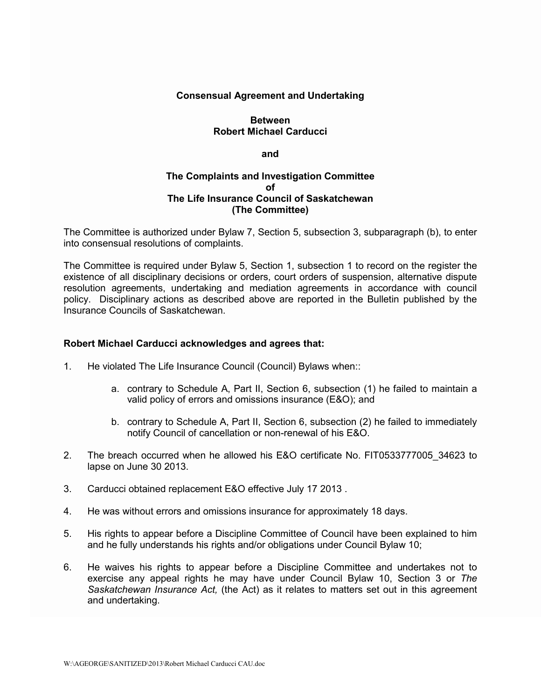# **Consensual Agreement and Undertaking**

# **Between Robert Michael Carducci**

#### **and**

# **The Complaints and Investigation Committee of The Life Insurance Council of Saskatchewan (The Committee)**

The Committee is authorized under Bylaw 7, Section 5, subsection 3, subparagraph (b), to enter into consensual resolutions of complaints.

The Committee is required under Bylaw 5, Section 1, subsection 1 to record on the register the existence of all disciplinary decisions or orders, court orders of suspension, alternative dispute resolution agreements, undertaking and mediation agreements in accordance with council policy. Disciplinary actions as described above are reported in the Bulletin published by the Insurance Councils of Saskatchewan.

### **Robert Michael Carducci acknowledges and agrees that:**

- 1. He violated The Life Insurance Council (Council) Bylaws when::
	- a. contrary to Schedule A, Part II, Section 6, subsection (1) he failed to maintain a valid policy of errors and omissions insurance (E&O); and
	- b. contrary to Schedule A, Part II, Section 6, subsection (2) he failed to immediately notify Council of cancellation or non-renewal of his E&O.
- 2. The breach occurred when he allowed his E&O certificate No. FIT0533777005\_34623 to lapse on June 30 2013.
- 3. Carducci obtained replacement E&O effective July 17 2013 .
- 4. He was without errors and omissions insurance for approximately 18 days.
- 5. His rights to appear before a Discipline Committee of Council have been explained to him and he fully understands his rights and/or obligations under Council Bylaw 10;
- 6. He waives his rights to appear before a Discipline Committee and undertakes not to exercise any appeal rights he may have under Council Bylaw 10, Section 3 or *The Saskatchewan Insurance Act,* (the Act) as it relates to matters set out in this agreement and undertaking.